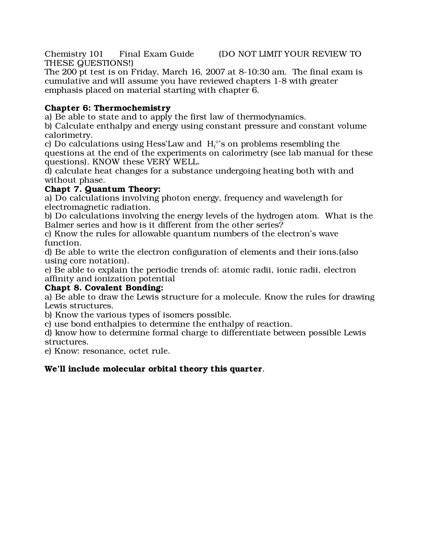Chemistry 101 Final Exam Guide (DO NOT LIMIT YOUR REVIEW TO THESE QUESTIONS!)

The 200 pt test is on Friday, March 16, 2007 at 8-10:30 am. The final exam is cumulative and will assume you have reviewed chapters 1-8 with greater emphasis placed on material starting with chapter 6.

## Chapter 6: Thermochemistry

a) Be able to state and to apply the first law of thermodynamics.

b) Calculate enthalpy and energy using constant pressure and constant volume calorimetry.

c) Do calculations using Hess'Law and  $\ H_{\mathrm{f}}^{\,\mathrm{o}}$ 's on problems resembling the questions at the end of the experiments on calorimetry (see lab manual for these questions). KNOW these VERY WELL.

d) calculate heat changes for a substance undergoing heating both with and without phase.

## Chapt 7. Quantum Theory:

a) Do calculations involving photon energy, frequency and wavelength for electromagnetic radiation.

b) Do calculations involving the energy levels of the hydrogen atom. What is the Balmer series and how is it different from the other series?

c) Know the rules for allowable quantum numbers of the electron's wave function.

d) Be able to write the electron configuration of elements and their ions.(also using core notation).

e) Be able to explain the periodic trends of: atomic radii, ionic radii, electron affinity and ionization potential

## Chapt 8. Covalent Bonding:

a) Be able to draw the Lewis structure for a molecule. Know the rules for drawing Lewis structures.

b) Know the various types of isomers possible.

c) use bond enthalpies to determine the enthalpy of reaction.

d) know how to determine formal charge to differentiate between possible Lewis structures.

e) Know: resonance, octet rule.

## We'll include molecular orbital theory this quarter.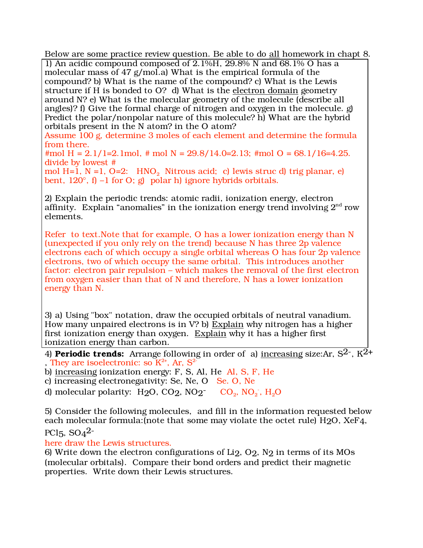Below are some practice review question. Be able to do all homework in chapt 8.

1) An acidic compound composed of 2.1%H, 29.8% N and 68.1% O has a molecular mass of 47 g/mol.a) What is the empirical formula of the compound? b) What is the name of the compound? c) What is the Lewis structure if H is bonded to O? d) What is the electron domain geometry around N? e) What is the molecular geometry of the molecule (describe all angles)? f) Give the formal charge of nitrogen and oxygen in the molecule. g) Predict the polar/nonpolar nature of this molecule? h) What are the hybrid orbitals present in the N atom? in the O atom?

Assume 100 g, determine 3 moles of each element and determine the formula from there.

#mol H =  $2.1/1=2.1$  mol, # mol N =  $29.8/14.0=2.13$ ; #mol O =  $68.1/16=4.25$ . divide by lowest #

mol H=1, N =1, O=2:  $HNO<sub>2</sub>$  Nitrous acid; c) lewis struc d) trig planar, e) bent,  $120^\circ$ , f) –1 for O; g) polar h) ignore hybrids orbitals.

2) Explain the periodic trends: atomic radii, ionization energy, electron affinity. Explain "anomalies" in the ionization energy trend involving  $2<sup>nd</sup>$  row elements.

Refer to text.Note that for example, O has a lower ionization energy than N (unexpected if you only rely on the trend) because N has three 2p valence electrons each of which occupy a single orbital whereas O has four 2p valence electrons, two of which occupy the same orbital. This introduces another factor: electron pair repulsion – which makes the removal of the first electron from oxygen easier than that of N and therefore, N has a lower ionization energy than N.

3) a) Using "box" notation, draw the occupied orbitals of neutral vanadium. How many unpaired electrons is in V? b) Explain why nitrogen has a higher first ionization energy than oxygen. Explain why it has a higher first ionization energy than carbon.

4) **Periodic trends:** Arrange following in order of a) increasing size: Ar,  $S^2$ ,  $K^2$ + , They are isoelectronic: so  $K^{2+}$ , Ar,  $S^{2-}$ 

b) increasing ionization energy: F, S, Al, He Al, S, F, He

c) increasing electronegativity: Se, Ne, O Se. O, Ne

d) molecular polarity:  $H_2O$ ,  $CO_2$ ,  $NO_2^ CO_2$ ,  $NO_2^-$ ,  $H_2O$ 

5) Consider the following molecules, and fill in the information requested below each molecular formula:(note that some may violate the octet rule) H2O, XeF4,

PCl<sub>5</sub>,  $SO<sub>4</sub>2$ -

here draw the Lewis structures.

6) Write down the electron configurations of Li2, O2, N2 in terms of its MOs (molecular orbitals). Compare their bond orders and predict their magnetic properties. Write down their Lewis structures.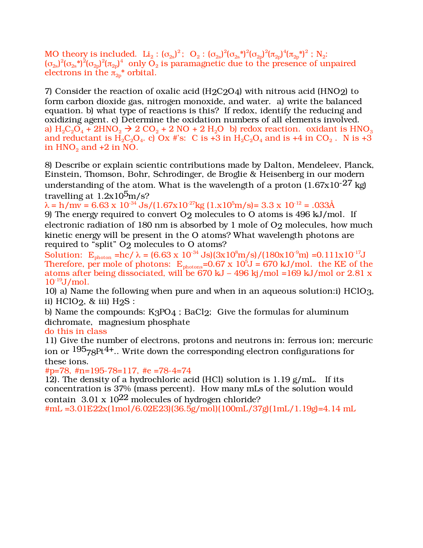MO theory is included.  $Li_2: (\sigma_{2s})^2$ ;  $O_2: (\sigma_{2s})^2(\sigma_{2s}^*)^2(\sigma_{2p})^2(\pi_{2p})^4(\pi_{2p}^*)^2$ ;  $N_2$ :  $(\sigma_{2s})^2(\sigma_{2s}^*)^2(\sigma_{2p})^2(\pi_{2p})^4$  only  $O_2$  is paramagnetic due to the presence of unpaired electrons in the  $\pi_{2n}^*$  orbital.

7) Consider the reaction of oxalic acid  $(H2C2O4)$  with nitrous acid (HNO2) to form carbon dioxide gas, nitrogen monoxide, and water. a) write the balanced equation. b) what type of reactions is this? If redox, identify the reducing and oxidizing agent. c) Determine the oxidation numbers of all elements involved. a)  $H_2C_2O_4$  + 2HNO<sub>2</sub>  $\rightarrow$  2 CO<sub>2</sub> + 2 NO + 2 H<sub>2</sub>O b) redox reaction. oxidant is HNO<sub>3</sub> and reductant is  $H_2C_2O_4$ . c) Ox #'s: C is +3 in  $H_2C_2O_4$  and is +4 in CO<sub>2</sub>. N is +3 in  $HNO<sub>2</sub>$  and  $+2$  in NO.

8) Describe or explain scientic contributions made by Dalton, Mendeleev, Planck, Einstein, Thomson, Bohr, Schrodinger, de Broglie & Heisenberg in our modern understanding of the atom. What is the wavelength of a proton  $(1.67 \text{x} 10^{-27} \text{ kg})$ travelling at  $1.2x10^5$ m/s?

 $\lambda = h/mv = 6.63 \times 10^{-34}$  Js/(1.67x10<sup>-27</sup>kg (1.x10<sup>5</sup>m/s)= 3.3 x 10<sup>-12</sup> = .033Å 9) The energy required to convert O2 molecules to O atoms is 496 kJ/mol. If electronic radiation of 180 nm is absorbed by 1 mole of O2 molecules, how much kinetic energy will be present in the O atoms? What wavelength photons are required to "split" O2 molecules to O atoms?

Solution:  $E_{\text{photon}} = hc/\lambda = (6.63 \times 10^{-34} \text{ Js})(3 \times 10^8 \text{m/s})/(180 \times 10^{-9} \text{m}) = 0.111 \times 10^{-17} \text{J}$ Therefore, per mole of photons:  $E_{photons}$ =0.67 x 10<sup>5</sup>J = 670 kJ/mol. the KE of the atoms after being dissociated, will be 670 kJ – 496 kj/mol =  $169$  kJ/mol or 2.81 x  $10^{-19}$ J/mol.

10) a) Name the following when pure and when in an aqueous solution:i) HClO3, ii)  $HCIO<sub>2</sub>$ , & iii)  $H<sub>2</sub>S$ :

b) Name the compounds: K3PO4 ; BaCl2; Give the formulas for aluminum dichromate, magnesium phosphate

do this in class

11) Give the number of electrons, protons and neutrons in: ferrous ion; mercuric ion or  $195$ <sub>78</sub>Pt<sup>4+</sup>.. Write down the corresponding electron configurations for these ions.

#p=78, #n=195-78=117, #e =78-4=74

12). The density of a hydrochloric acid (HCl) solution is  $1.19$  g/mL. If its concentration is 37% (mass percent). How many mLs of the solution would contain 3.01 x  $10^{22}$  molecules of hydrogen chloride?

#mL =3.01E22x(1mol/6.02E23)(36.5g/mol)(100mL/37g)(1mL/1.19g)=4.14 mL